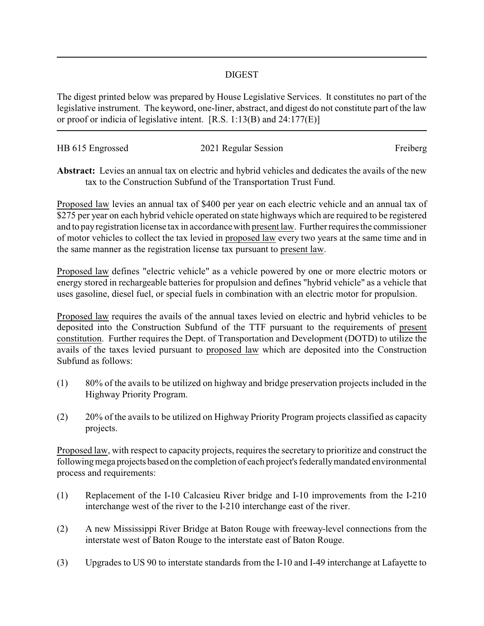## DIGEST

The digest printed below was prepared by House Legislative Services. It constitutes no part of the legislative instrument. The keyword, one-liner, abstract, and digest do not constitute part of the law or proof or indicia of legislative intent. [R.S. 1:13(B) and 24:177(E)]

| HB 615 Engrossed | 2021 Regular Session | Freiberg |
|------------------|----------------------|----------|
|                  |                      |          |

**Abstract:** Levies an annual tax on electric and hybrid vehicles and dedicates the avails of the new tax to the Construction Subfund of the Transportation Trust Fund.

Proposed law levies an annual tax of \$400 per year on each electric vehicle and an annual tax of \$275 per year on each hybrid vehicle operated on state highways which are required to be registered and to payregistration license tax in accordance with present law. Further requires the commissioner of motor vehicles to collect the tax levied in proposed law every two years at the same time and in the same manner as the registration license tax pursuant to present law.

Proposed law defines "electric vehicle" as a vehicle powered by one or more electric motors or energy stored in rechargeable batteries for propulsion and defines "hybrid vehicle" as a vehicle that uses gasoline, diesel fuel, or special fuels in combination with an electric motor for propulsion.

Proposed law requires the avails of the annual taxes levied on electric and hybrid vehicles to be deposited into the Construction Subfund of the TTF pursuant to the requirements of present constitution. Further requires the Dept. of Transportation and Development (DOTD) to utilize the avails of the taxes levied pursuant to proposed law which are deposited into the Construction Subfund as follows:

- (1) 80% of the avails to be utilized on highway and bridge preservation projects included in the Highway Priority Program.
- (2) 20% of the avails to be utilized on Highway Priority Program projects classified as capacity projects.

Proposed law, with respect to capacity projects, requires the secretary to prioritize and construct the following mega projects based on the completion of each project's federally mandated environmental process and requirements:

- (1) Replacement of the I-10 Calcasieu River bridge and I-10 improvements from the I-210 interchange west of the river to the I-210 interchange east of the river.
- (2) A new Mississippi River Bridge at Baton Rouge with freeway-level connections from the interstate west of Baton Rouge to the interstate east of Baton Rouge.
- (3) Upgrades to US 90 to interstate standards from the I-10 and I-49 interchange at Lafayette to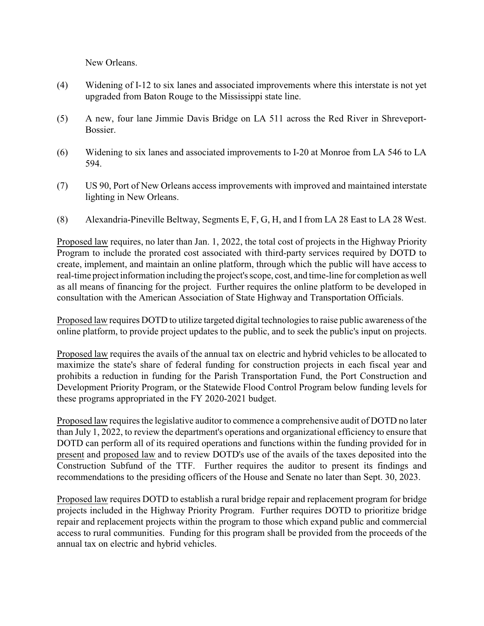New Orleans.

- (4) Widening of I-12 to six lanes and associated improvements where this interstate is not yet upgraded from Baton Rouge to the Mississippi state line.
- (5) A new, four lane Jimmie Davis Bridge on LA 511 across the Red River in Shreveport-**Bossier**
- (6) Widening to six lanes and associated improvements to I-20 at Monroe from LA 546 to LA 594.
- (7) US 90, Port of New Orleans access improvements with improved and maintained interstate lighting in New Orleans.
- (8) Alexandria-Pineville Beltway, Segments E, F, G, H, and I from LA 28 East to LA 28 West.

Proposed law requires, no later than Jan. 1, 2022, the total cost of projects in the Highway Priority Program to include the prorated cost associated with third-party services required by DOTD to create, implement, and maintain an online platform, through which the public will have access to real-time project information including the project's scope, cost, and time-line for completion as well as all means of financing for the project. Further requires the online platform to be developed in consultation with the American Association of State Highway and Transportation Officials.

Proposed law requires DOTD to utilize targeted digital technologies to raise public awareness of the online platform, to provide project updates to the public, and to seek the public's input on projects.

Proposed law requires the avails of the annual tax on electric and hybrid vehicles to be allocated to maximize the state's share of federal funding for construction projects in each fiscal year and prohibits a reduction in funding for the Parish Transportation Fund, the Port Construction and Development Priority Program, or the Statewide Flood Control Program below funding levels for these programs appropriated in the FY 2020-2021 budget.

Proposed law requires the legislative auditor to commence a comprehensive audit of DOTD no later than July 1, 2022, to review the department's operations and organizational efficiency to ensure that DOTD can perform all of its required operations and functions within the funding provided for in present and proposed law and to review DOTD's use of the avails of the taxes deposited into the Construction Subfund of the TTF. Further requires the auditor to present its findings and recommendations to the presiding officers of the House and Senate no later than Sept. 30, 2023.

Proposed law requires DOTD to establish a rural bridge repair and replacement program for bridge projects included in the Highway Priority Program. Further requires DOTD to prioritize bridge repair and replacement projects within the program to those which expand public and commercial access to rural communities. Funding for this program shall be provided from the proceeds of the annual tax on electric and hybrid vehicles.